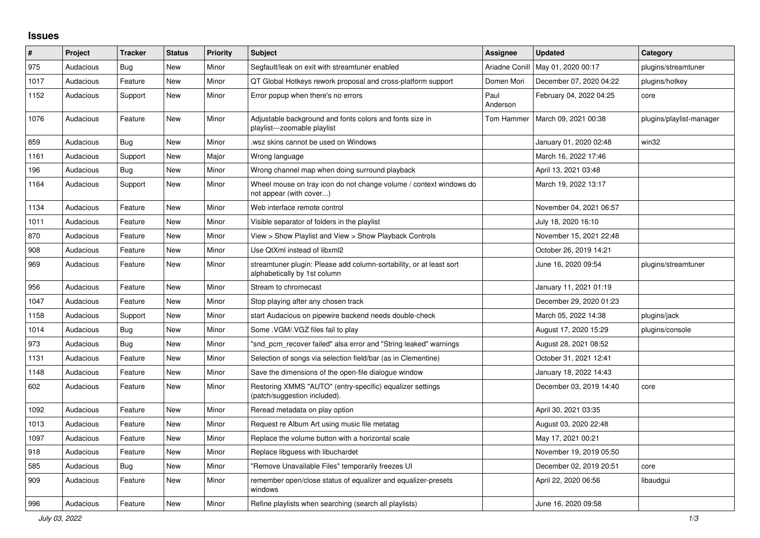## **Issues**

| $\sharp$ | Project   | <b>Tracker</b> | <b>Status</b> | <b>Priority</b> | <b>Subject</b>                                                                                      | Assignee         | <b>Updated</b>          | Category                 |
|----------|-----------|----------------|---------------|-----------------|-----------------------------------------------------------------------------------------------------|------------------|-------------------------|--------------------------|
| 975      | Audacious | Bug            | <b>New</b>    | Minor           | Segfault/leak on exit with streamtuner enabled                                                      | Ariadne Conill   | May 01, 2020 00:17      | plugins/streamtuner      |
| 1017     | Audacious | Feature        | New           | Minor           | QT Global Hotkeys rework proposal and cross-platform support                                        | Domen Mori       | December 07, 2020 04:22 | plugins/hotkey           |
| 1152     | Audacious | Support        | New           | Minor           | Error popup when there's no errors                                                                  | Paul<br>Anderson | February 04, 2022 04:25 | core                     |
| 1076     | Audacious | Feature        | New           | Minor           | Adjustable background and fonts colors and fonts size in<br>playlist---zoomable playlist            | Tom Hammer       | March 09, 2021 00:38    | plugins/playlist-manager |
| 859      | Audacious | <b>Bug</b>     | New           | Minor           | .wsz skins cannot be used on Windows                                                                |                  | January 01, 2020 02:48  | win32                    |
| 1161     | Audacious | Support        | New           | Major           | Wrong language                                                                                      |                  | March 16, 2022 17:46    |                          |
| 196      | Audacious | Bug            | New           | Minor           | Wrong channel map when doing surround playback                                                      |                  | April 13, 2021 03:48    |                          |
| 1164     | Audacious | Support        | New           | Minor           | Wheel mouse on tray icon do not change volume / context windows do<br>not appear (with cover)       |                  | March 19, 2022 13:17    |                          |
| 1134     | Audacious | Feature        | New           | Minor           | Web interface remote control                                                                        |                  | November 04, 2021 06:57 |                          |
| 1011     | Audacious | Feature        | New           | Minor           | Visible separator of folders in the playlist                                                        |                  | July 18, 2020 16:10     |                          |
| 870      | Audacious | Feature        | New           | Minor           | View > Show Playlist and View > Show Playback Controls                                              |                  | November 15, 2021 22:48 |                          |
| 908      | Audacious | Feature        | New           | Minor           | Use QtXml instead of libxml2                                                                        |                  | October 26, 2019 14:21  |                          |
| 969      | Audacious | Feature        | New           | Minor           | streamtuner plugin: Please add column-sortability, or at least sort<br>alphabetically by 1st column |                  | June 16, 2020 09:54     | plugins/streamtuner      |
| 956      | Audacious | Feature        | <b>New</b>    | Minor           | Stream to chromecast                                                                                |                  | January 11, 2021 01:19  |                          |
| 1047     | Audacious | Feature        | New           | Minor           | Stop playing after any chosen track                                                                 |                  | December 29, 2020 01:23 |                          |
| 1158     | Audacious | Support        | <b>New</b>    | Minor           | start Audacious on pipewire backend needs double-check                                              |                  | March 05, 2022 14:38    | plugins/jack             |
| 1014     | Audacious | Bug            | <b>New</b>    | Minor           | Some . VGM/. VGZ files fail to play                                                                 |                  | August 17, 2020 15:29   | plugins/console          |
| 973      | Audacious | Bug            | <b>New</b>    | Minor           | "snd_pcm_recover failed" alsa error and "String leaked" warnings                                    |                  | August 28, 2021 08:52   |                          |
| 1131     | Audacious | Feature        | <b>New</b>    | Minor           | Selection of songs via selection field/bar (as in Clementine)                                       |                  | October 31, 2021 12:41  |                          |
| 1148     | Audacious | Feature        | New           | Minor           | Save the dimensions of the open-file dialogue window                                                |                  | January 18, 2022 14:43  |                          |
| 602      | Audacious | Feature        | New           | Minor           | Restoring XMMS "AUTO" (entry-specific) equalizer settings<br>(patch/suggestion included).           |                  | December 03, 2019 14:40 | core                     |
| 1092     | Audacious | Feature        | <b>New</b>    | Minor           | Reread metadata on play option                                                                      |                  | April 30, 2021 03:35    |                          |
| 1013     | Audacious | Feature        | <b>New</b>    | Minor           | Request re Album Art using music file metatag                                                       |                  | August 03, 2020 22:48   |                          |
| 1097     | Audacious | Feature        | New           | Minor           | Replace the volume button with a horizontal scale                                                   |                  | May 17, 2021 00:21      |                          |
| 918      | Audacious | Feature        | New           | Minor           | Replace libguess with libuchardet                                                                   |                  | November 19, 2019 05:50 |                          |
| 585      | Audacious | Bug            | New           | Minor           | "Remove Unavailable Files" temporarily freezes UI                                                   |                  | December 02, 2019 20:51 | core                     |
| 909      | Audacious | Feature        | New           | Minor           | remember open/close status of equalizer and equalizer-presets<br>windows                            |                  | April 22, 2020 06:56    | libaudgui                |
| 996      | Audacious | Feature        | New           | Minor           | Refine playlists when searching (search all playlists)                                              |                  | June 16, 2020 09:58     |                          |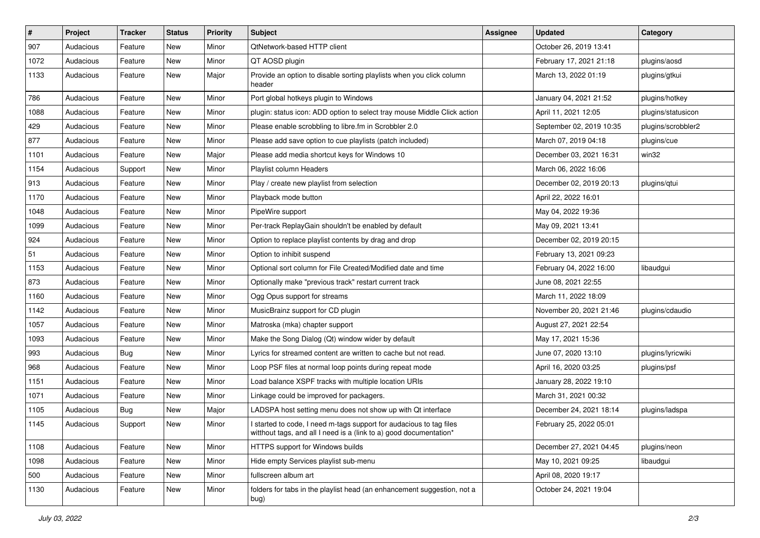| $\vert$ # | Project   | <b>Tracker</b> | <b>Status</b> | <b>Priority</b> | <b>Subject</b>                                                                                                                            | <b>Assignee</b> | <b>Updated</b>           | Category           |
|-----------|-----------|----------------|---------------|-----------------|-------------------------------------------------------------------------------------------------------------------------------------------|-----------------|--------------------------|--------------------|
| 907       | Audacious | Feature        | New           | Minor           | QtNetwork-based HTTP client                                                                                                               |                 | October 26, 2019 13:41   |                    |
| 1072      | Audacious | Feature        | New           | Minor           | QT AOSD plugin                                                                                                                            |                 | February 17, 2021 21:18  | plugins/aosd       |
| 1133      | Audacious | Feature        | New           | Major           | Provide an option to disable sorting playlists when you click column<br>header                                                            |                 | March 13, 2022 01:19     | plugins/gtkui      |
| 786       | Audacious | Feature        | <b>New</b>    | Minor           | Port global hotkeys plugin to Windows                                                                                                     |                 | January 04, 2021 21:52   | plugins/hotkey     |
| 1088      | Audacious | Feature        | New           | Minor           | plugin: status icon: ADD option to select tray mouse Middle Click action                                                                  |                 | April 11, 2021 12:05     | plugins/statusicon |
| 429       | Audacious | Feature        | <b>New</b>    | Minor           | Please enable scrobbling to libre.fm in Scrobbler 2.0                                                                                     |                 | September 02, 2019 10:35 | plugins/scrobbler2 |
| 877       | Audacious | Feature        | New           | Minor           | Please add save option to cue playlists (patch included)                                                                                  |                 | March 07, 2019 04:18     | plugins/cue        |
| 1101      | Audacious | Feature        | New           | Major           | Please add media shortcut keys for Windows 10                                                                                             |                 | December 03, 2021 16:31  | win32              |
| 1154      | Audacious | Support        | <b>New</b>    | Minor           | Playlist column Headers                                                                                                                   |                 | March 06, 2022 16:06     |                    |
| 913       | Audacious | Feature        | New           | Minor           | Play / create new playlist from selection                                                                                                 |                 | December 02, 2019 20:13  | plugins/qtui       |
| 1170      | Audacious | Feature        | New           | Minor           | Playback mode button                                                                                                                      |                 | April 22, 2022 16:01     |                    |
| 1048      | Audacious | Feature        | New           | Minor           | PipeWire support                                                                                                                          |                 | May 04, 2022 19:36       |                    |
| 1099      | Audacious | Feature        | <b>New</b>    | Minor           | Per-track ReplayGain shouldn't be enabled by default                                                                                      |                 | May 09, 2021 13:41       |                    |
| 924       | Audacious | Feature        | <b>New</b>    | Minor           | Option to replace playlist contents by drag and drop                                                                                      |                 | December 02, 2019 20:15  |                    |
| 51        | Audacious | Feature        | New           | Minor           | Option to inhibit suspend                                                                                                                 |                 | February 13, 2021 09:23  |                    |
| 1153      | Audacious | Feature        | New           | Minor           | Optional sort column for File Created/Modified date and time                                                                              |                 | February 04, 2022 16:00  | libaudgui          |
| 873       | Audacious | Feature        | New           | Minor           | Optionally make "previous track" restart current track                                                                                    |                 | June 08, 2021 22:55      |                    |
| 1160      | Audacious | Feature        | New           | Minor           | Ogg Opus support for streams                                                                                                              |                 | March 11, 2022 18:09     |                    |
| 1142      | Audacious | Feature        | <b>New</b>    | Minor           | MusicBrainz support for CD plugin                                                                                                         |                 | November 20, 2021 21:46  | plugins/cdaudio    |
| 1057      | Audacious | Feature        | New           | Minor           | Matroska (mka) chapter support                                                                                                            |                 | August 27, 2021 22:54    |                    |
| 1093      | Audacious | Feature        | New           | Minor           | Make the Song Dialog (Qt) window wider by default                                                                                         |                 | May 17, 2021 15:36       |                    |
| 993       | Audacious | Bug            | <b>New</b>    | Minor           | Lyrics for streamed content are written to cache but not read.                                                                            |                 | June 07, 2020 13:10      | plugins/lyricwiki  |
| 968       | Audacious | Feature        | New           | Minor           | Loop PSF files at normal loop points during repeat mode                                                                                   |                 | April 16, 2020 03:25     | plugins/psf        |
| 1151      | Audacious | Feature        | New           | Minor           | Load balance XSPF tracks with multiple location URIs                                                                                      |                 | January 28, 2022 19:10   |                    |
| 1071      | Audacious | Feature        | New           | Minor           | Linkage could be improved for packagers.                                                                                                  |                 | March 31, 2021 00:32     |                    |
| 1105      | Audacious | <b>Bug</b>     | New           | Major           | LADSPA host setting menu does not show up with Qt interface                                                                               |                 | December 24, 2021 18:14  | plugins/ladspa     |
| 1145      | Audacious | Support        | New           | Minor           | I started to code, I need m-tags support for audacious to tag files<br>witthout tags, and all I need is a (link to a) good documentation* |                 | February 25, 2022 05:01  |                    |
| 1108      | Audacious | Feature        | New           | Minor           | HTTPS support for Windows builds                                                                                                          |                 | December 27, 2021 04:45  | plugins/neon       |
| 1098      | Audacious | Feature        | New           | Minor           | Hide empty Services playlist sub-menu                                                                                                     |                 | May 10, 2021 09:25       | libaudgui          |
| 500       | Audacious | Feature        | New           | Minor           | fullscreen album art                                                                                                                      |                 | April 08, 2020 19:17     |                    |
| 1130      | Audacious | Feature        | New           | Minor           | folders for tabs in the playlist head (an enhancement suggestion, not a<br>bug)                                                           |                 | October 24, 2021 19:04   |                    |